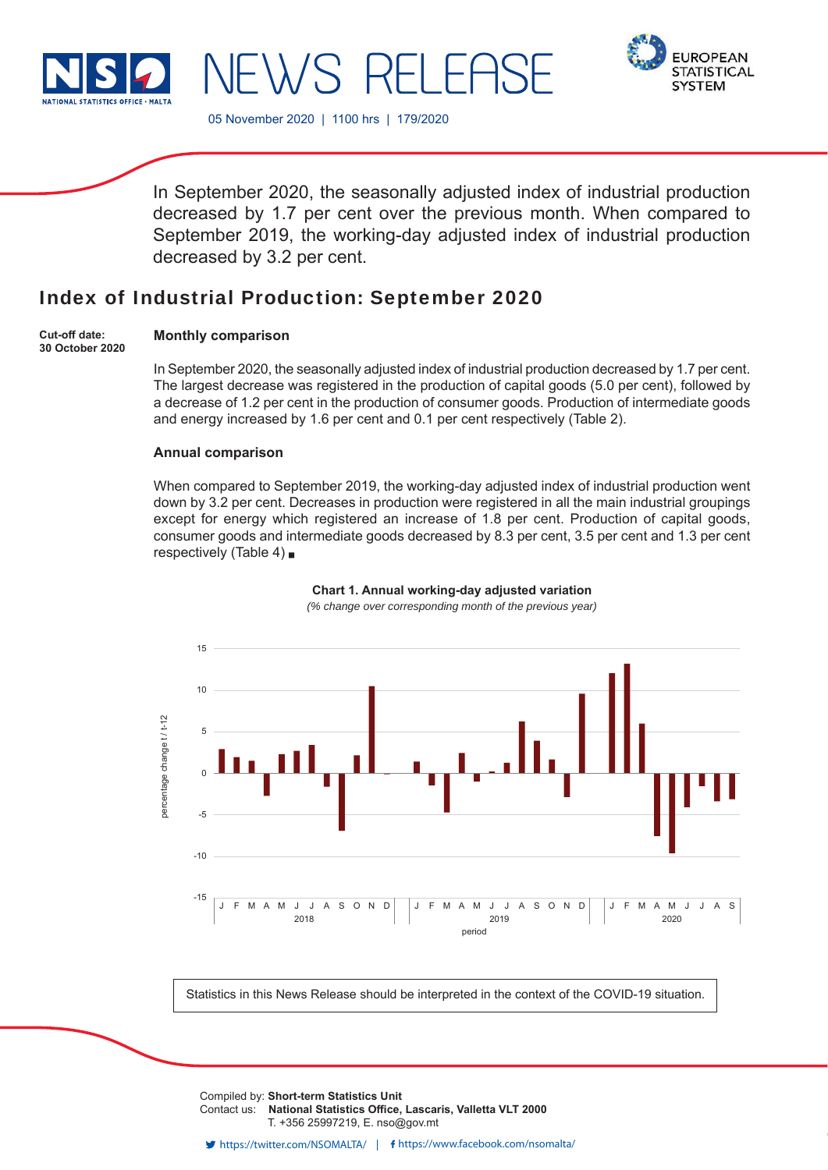



05 November 2020 | 1100 hrs | 179/2020

In September 2020, the seasonally adjusted index of industrial production decreased by 1.7 per cent over the previous month. When compared to September 2019, the working-day adjusted index of industrial production decreased by 3.2 per cent.

# Index of Industrial Production: September 2020

**Cut-off date: 30 October 2020**

### **Monthly comparison**

In September 2020, the seasonally adjusted index of industrial production decreased by 1.7 per cent. The largest decrease was registered in the production of capital goods (5.0 per cent), followed by a decrease of 1.2 per cent in the production of consumer goods. Production of intermediate goods and energy increased by 1.6 per cent and 0.1 per cent respectively (Table 2).

### **Annual comparison**

When compared to September 2019, the working-day adjusted index of industrial production went down by 3.2 per cent. Decreases in production were registered in all the main industrial groupings except for energy which registered an increase of 1.8 per cent. Production of capital goods, consumer goods and intermediate goods decreased by 8.3 per cent, 3.5 per cent and 1.3 per cent respectively (Table 4)  $\blacksquare$ 



## **Chart 1. Annual working-day adjusted variation**

*(% change over corresponding month of the previous year)*

Statistics in this News Release should be interpreted in the context of the COVID-19 situation.

Compiled by: **Short-term Statistics Unit** Contact us: National Statistics Office, Lascaris, Valletta VLT 2000 T. +356 25997219, E. nso@gov.mt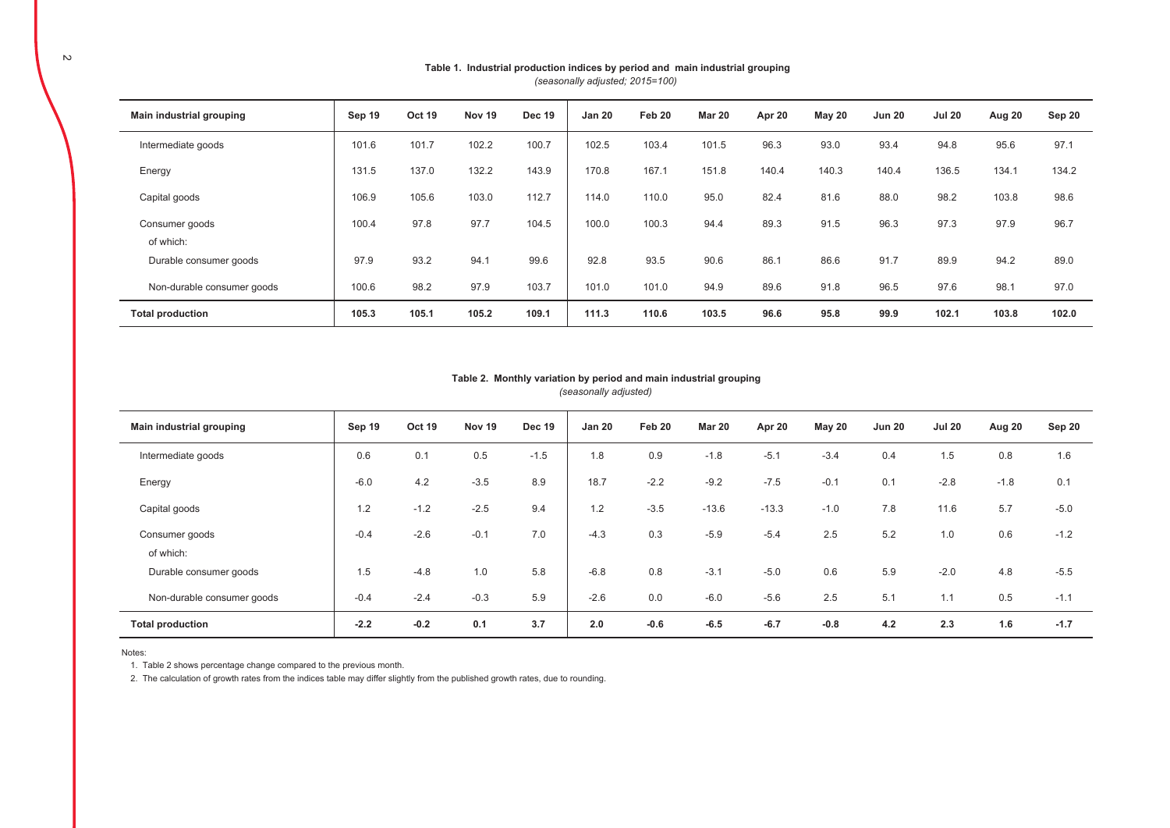| Main industrial grouping   | Sep 19 | <b>Oct 19</b> | Nov 19 | <b>Dec 19</b> | <b>Jan 20</b> | Feb 20 | <b>Mar 20</b> | Apr 20 | <b>May 20</b> | <b>Jun 20</b> | <b>Jul 20</b> | Aug 20 | Sep 20 |
|----------------------------|--------|---------------|--------|---------------|---------------|--------|---------------|--------|---------------|---------------|---------------|--------|--------|
| Intermediate goods         | 101.6  | 101.7         | 102.2  | 100.7         | 102.5         | 103.4  | 101.5         | 96.3   | 93.0          | 93.4          | 94.8          | 95.6   | 97.1   |
| Energy                     | 131.5  | 137.0         | 132.2  | 143.9         | 170.8         | 167.1  | 151.8         | 140.4  | 140.3         | 140.4         | 136.5         | 134.1  | 134.2  |
| Capital goods              | 106.9  | 105.6         | 103.0  | 112.7         | 114.0         | 110.0  | 95.0          | 82.4   | 81.6          | 88.0          | 98.2          | 103.8  | 98.6   |
| Consumer goods             | 100.4  | 97.8          | 97.7   | 104.5         | 100.0         | 100.3  | 94.4          | 89.3   | 91.5          | 96.3          | 97.3          | 97.9   | 96.7   |
| of which:                  |        |               |        |               |               |        |               |        |               |               |               |        |        |
| Durable consumer goods     | 97.9   | 93.2          | 94.1   | 99.6          | 92.8          | 93.5   | 90.6          | 86.1   | 86.6          | 91.7          | 89.9          | 94.2   | 89.0   |
| Non-durable consumer goods | 100.6  | 98.2          | 97.9   | 103.7         | 101.0         | 101.0  | 94.9          | 89.6   | 91.8          | 96.5          | 97.6          | 98.1   | 97.0   |
| <b>Total production</b>    | 105.3  | 105.1         | 105.2  | 109.1         | 111.3         | 110.6  | 103.5         | 96.6   | 95.8          | 99.9          | 102.1         | 103.8  | 102.0  |

#### Table 1. Industrial production indices by period and main industrial grouping *(seasonally adjusted; 2015=100)*

#### *(seasonally adjusted)* Table 2. Monthly variation by period and main industrial grouping

| Main industrial grouping   | Sep 19 | Oct 19 | Nov 19 | <b>Dec 19</b> | <b>Jan 20</b> | Feb 20 | <b>Mar 20</b> | Apr 20  | May 20 | <b>Jun 20</b> | <b>Jul 20</b> | Aug 20 | Sep 20 |
|----------------------------|--------|--------|--------|---------------|---------------|--------|---------------|---------|--------|---------------|---------------|--------|--------|
| Intermediate goods         | 0.6    | 0.1    | 0.5    | $-1.5$        | 1.8           | 0.9    | $-1.8$        | $-5.1$  | $-3.4$ | 0.4           | 1.5           | 0.8    | 1.6    |
| Energy                     | $-6.0$ | 4.2    | $-3.5$ | 8.9           | 18.7          | $-2.2$ | $-9.2$        | $-7.5$  | $-0.1$ | 0.1           | $-2.8$        | $-1.8$ | 0.1    |
| Capital goods              | 1.2    | $-1.2$ | $-2.5$ | 9.4           | 1.2           | $-3.5$ | $-13.6$       | $-13.3$ | $-1.0$ | 7.8           | 11.6          | 5.7    | $-5.0$ |
| Consumer goods             | $-0.4$ | $-2.6$ | $-0.1$ | 7.0           | $-4.3$        | 0.3    | $-5.9$        | $-5.4$  | 2.5    | 5.2           | 1.0           | 0.6    | $-1.2$ |
| of which:                  |        |        |        |               |               |        |               |         |        |               |               |        |        |
| Durable consumer goods     | 1.5    | $-4.8$ | 1.0    | 5.8           | $-6.8$        | 0.8    | $-3.1$        | $-5.0$  | 0.6    | 5.9           | $-2.0$        | 4.8    | $-5.5$ |
| Non-durable consumer goods | $-0.4$ | $-2.4$ | $-0.3$ | 5.9           | $-2.6$        | 0.0    | $-6.0$        | $-5.6$  | 2.5    | 5.1           | 1.1           | 0.5    | $-1.1$ |
| <b>Total production</b>    | $-2.2$ | $-0.2$ | 0.1    | 3.7           | 2.0           | $-0.6$ | $-6.5$        | $-6.7$  | $-0.8$ | 4.2           | 2.3           | 1.6    | $-1.7$ |

Notes:

1. Table 2 shows percentage change compared to the previous month.

2. The calculation of growth rates from the indices table may differ slightly from the published growth rates, due to rounding.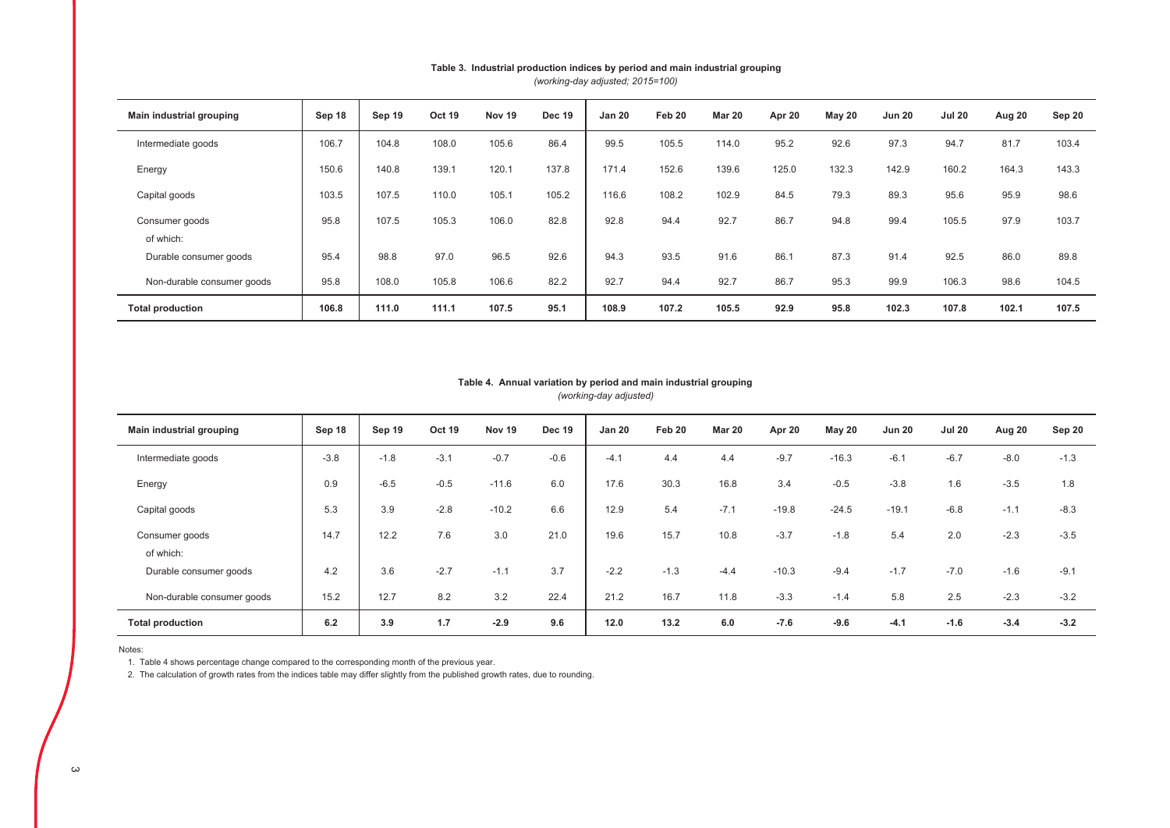| Main industrial grouping   | Sep 18 | Sep 19 | Oct 19 | Nov 19 | <b>Dec 19</b> | <b>Jan 20</b> | Feb 20 | <b>Mar 20</b> | Apr 20 | May 20 | <b>Jun 20</b> | <b>Jul 20</b> | Aug 20 | Sep 20 |
|----------------------------|--------|--------|--------|--------|---------------|---------------|--------|---------------|--------|--------|---------------|---------------|--------|--------|
| Intermediate goods         | 106.7  | 104.8  | 108.0  | 105.6  | 86.4          | 99.5          | 105.5  | 114.0         | 95.2   | 92.6   | 97.3          | 94.7          | 81.7   | 103.4  |
| Energy                     | 150.6  | 140.8  | 139.1  | 120.1  | 137.8         | 171.4         | 152.6  | 139.6         | 125.0  | 132.3  | 142.9         | 160.2         | 164.3  | 143.3  |
| Capital goods              | 103.5  | 107.5  | 110.0  | 105.1  | 105.2         | 116.6         | 108.2  | 102.9         | 84.5   | 79.3   | 89.3          | 95.6          | 95.9   | 98.6   |
| Consumer goods             | 95.8   | 107.5  | 105.3  | 106.0  | 82.8          | 92.8          | 94.4   | 92.7          | 86.7   | 94.8   | 99.4          | 105.5         | 97.9   | 103.7  |
| of which:                  |        |        |        |        |               |               |        |               |        |        |               |               |        |        |
| Durable consumer goods     | 95.4   | 98.8   | 97.0   | 96.5   | 92.6          | 94.3          | 93.5   | 91.6          | 86.1   | 87.3   | 91.4          | 92.5          | 86.0   | 89.8   |
| Non-durable consumer goods | 95.8   | 108.0  | 105.8  | 106.6  | 82.2          | 92.7          | 94.4   | 92.7          | 86.7   | 95.3   | 99.9          | 106.3         | 98.6   | 104.5  |
| <b>Total production</b>    | 106.8  | 111.0  | 111.1  | 107.5  | 95.1          | 108.9         | 107.2  | 105.5         | 92.9   | 95.8   | 102.3         | 107.8         | 102.1  | 107.5  |

## Table 3. Industrial production indices by period and main industrial grouping

*(working-day adjusted; 2015=100)*

#### *(working-day adjusted)* Table 4. Annual variation by period and main industrial grouping

| Main industrial grouping    | Sep 18 | Sep 19 | Oct 19 | Nov 19  | <b>Dec 19</b> | <b>Jan 20</b> | Feb 20 | <b>Mar 20</b> | Apr 20  | May 20  | <b>Jun 20</b> | <b>Jul 20</b> | Aug 20 | Sep 20 |
|-----------------------------|--------|--------|--------|---------|---------------|---------------|--------|---------------|---------|---------|---------------|---------------|--------|--------|
| Intermediate goods          | $-3.8$ | $-1.8$ | $-3.1$ | $-0.7$  | $-0.6$        | $-4.1$        | 4.4    | 4.4           | $-9.7$  | $-16.3$ | $-6.1$        | $-6.7$        | $-8.0$ | $-1.3$ |
| Energy                      | 0.9    | $-6.5$ | $-0.5$ | $-11.6$ | 6.0           | 17.6          | 30.3   | 16.8          | 3.4     | $-0.5$  | $-3.8$        | 1.6           | $-3.5$ | 1.8    |
| Capital goods               | 5.3    | 3.9    | $-2.8$ | $-10.2$ | 6.6           | 12.9          | 5.4    | $-7.1$        | $-19.8$ | $-24.5$ | $-19.1$       | $-6.8$        | $-1.1$ | $-8.3$ |
| Consumer goods<br>of which: | 14.7   | 12.2   | 7.6    | 3.0     | 21.0          | 19.6          | 15.7   | 10.8          | $-3.7$  | $-1.8$  | 5.4           | 2.0           | $-2.3$ | $-3.5$ |
| Durable consumer goods      | 4.2    | 3.6    | $-2.7$ | $-1.1$  | 3.7           | $-2.2$        | $-1.3$ | $-4.4$        | $-10.3$ | $-9.4$  | $-1.7$        | $-7.0$        | $-1.6$ | $-9.1$ |
| Non-durable consumer goods  | 15.2   | 12.7   | 8.2    | 3.2     | 22.4          | 21.2          | 16.7   | 11.8          | $-3.3$  | $-1.4$  | 5.8           | 2.5           | $-2.3$ | $-3.2$ |
| <b>Total production</b>     | 6.2    | 3.9    | 1.7    | $-2.9$  | 9.6           | 12.0          | 13.2   | 6.0           | $-7.6$  | $-9.6$  | $-4.1$        | $-1.6$        | $-3.4$ | $-3.2$ |

Notes:

1. Table 4 shows percentage change compared to the corresponding month of the previous year.

2. The calculation of growth rates from the indices table may differ slightly from the published growth rates, due to rounding.